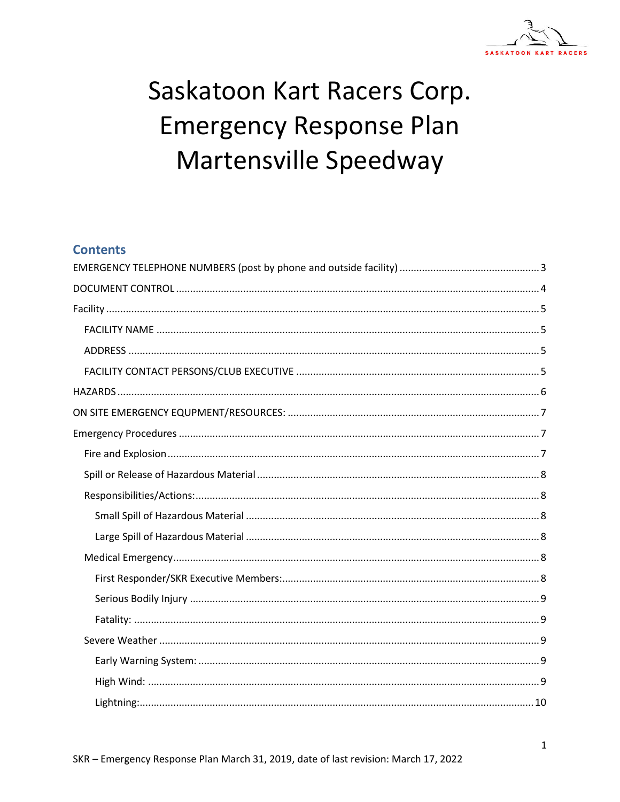

# Saskatoon Kart Racers Corp. **Emergency Response Plan** Martensville Speedway

### **Contents**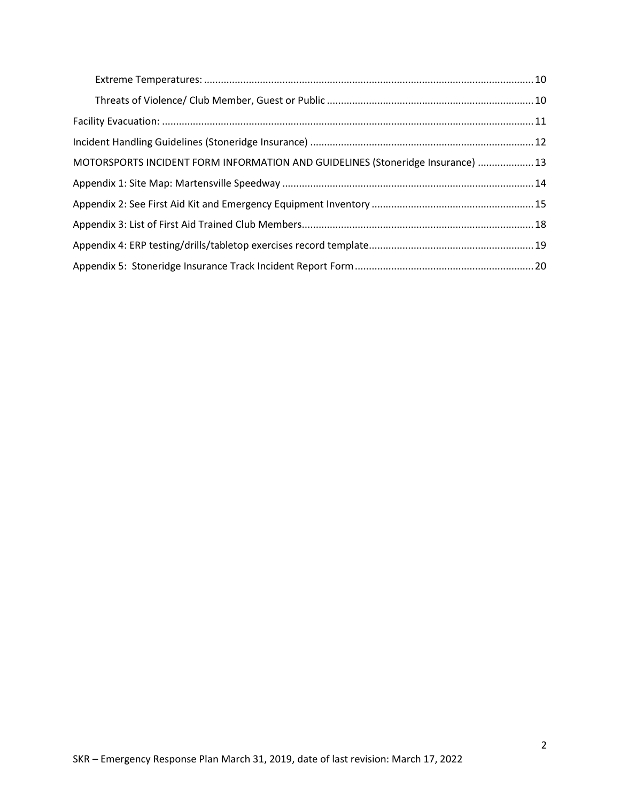| MOTORSPORTS INCIDENT FORM INFORMATION AND GUIDELINES (Stoneridge Insurance)  13 |  |
|---------------------------------------------------------------------------------|--|
|                                                                                 |  |
|                                                                                 |  |
|                                                                                 |  |
|                                                                                 |  |
|                                                                                 |  |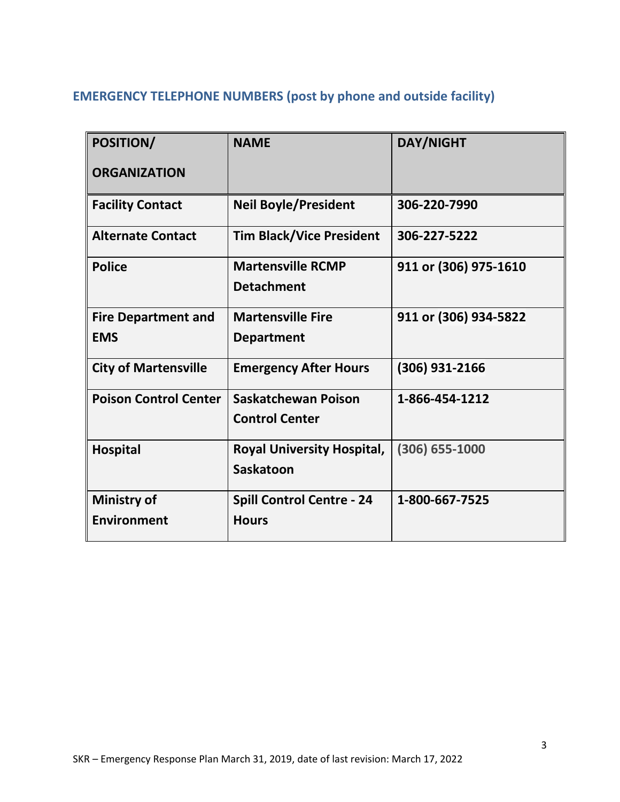# <span id="page-2-0"></span>**EMERGENCY TELEPHONE NUMBERS (post by phone and outside facility)**

| POSITION/                                | <b>NAME</b>                                           | <b>DAY/NIGHT</b>      |
|------------------------------------------|-------------------------------------------------------|-----------------------|
| <b>ORGANIZATION</b>                      |                                                       |                       |
| <b>Facility Contact</b>                  | <b>Neil Boyle/President</b>                           | 306-220-7990          |
| <b>Alternate Contact</b>                 | <b>Tim Black/Vice President</b>                       | 306-227-5222          |
| <b>Police</b>                            | <b>Martensville RCMP</b><br><b>Detachment</b>         | 911 or (306) 975-1610 |
| <b>Fire Department and</b><br><b>EMS</b> | <b>Martensville Fire</b><br><b>Department</b>         | 911 or (306) 934-5822 |
| <b>City of Martensville</b>              | <b>Emergency After Hours</b>                          | (306) 931-2166        |
| <b>Poison Control Center</b>             | <b>Saskatchewan Poison</b><br><b>Control Center</b>   | 1-866-454-1212        |
| <b>Hospital</b>                          | <b>Royal University Hospital,</b><br><b>Saskatoon</b> | $(306) 655 - 1000$    |
| <b>Ministry of</b><br><b>Environment</b> | <b>Spill Control Centre - 24</b><br><b>Hours</b>      | 1-800-667-7525        |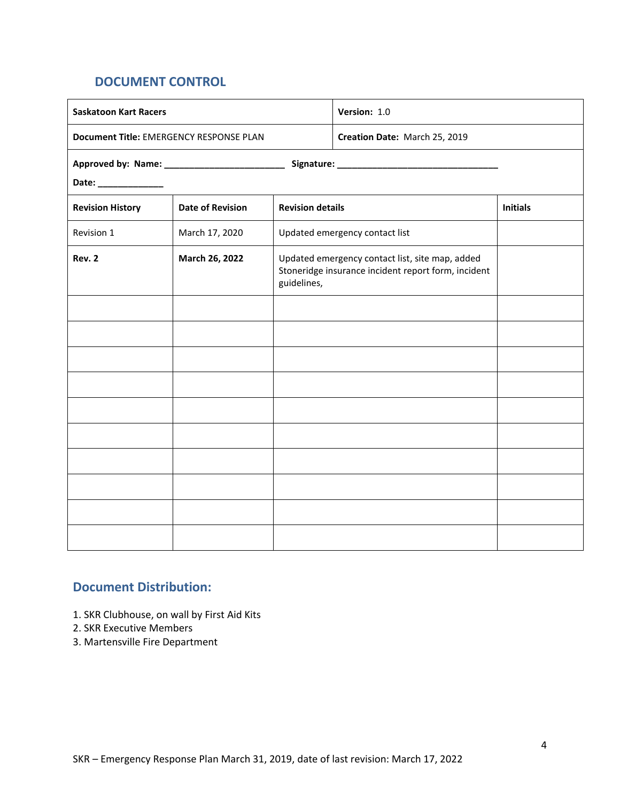# <span id="page-3-0"></span>**DOCUMENT CONTROL**

| Version: 1.0<br><b>Saskatoon Kart Racers</b> |                                                                          |                                                                                                                       |                                |                 |
|----------------------------------------------|--------------------------------------------------------------------------|-----------------------------------------------------------------------------------------------------------------------|--------------------------------|-----------------|
|                                              | Document Title: EMERGENCY RESPONSE PLAN<br>Creation Date: March 25, 2019 |                                                                                                                       |                                |                 |
|                                              |                                                                          |                                                                                                                       |                                |                 |
| Date: ______________                         |                                                                          |                                                                                                                       |                                |                 |
| <b>Revision History</b>                      | <b>Date of Revision</b>                                                  | <b>Revision details</b>                                                                                               |                                | <b>Initials</b> |
| Revision 1                                   | March 17, 2020                                                           |                                                                                                                       | Updated emergency contact list |                 |
| <b>Rev. 2</b>                                | March 26, 2022                                                           | Updated emergency contact list, site map, added<br>Stoneridge insurance incident report form, incident<br>guidelines, |                                |                 |
|                                              |                                                                          |                                                                                                                       |                                |                 |
|                                              |                                                                          |                                                                                                                       |                                |                 |
|                                              |                                                                          |                                                                                                                       |                                |                 |
|                                              |                                                                          |                                                                                                                       |                                |                 |
|                                              |                                                                          |                                                                                                                       |                                |                 |
|                                              |                                                                          |                                                                                                                       |                                |                 |
|                                              |                                                                          |                                                                                                                       |                                |                 |
|                                              |                                                                          |                                                                                                                       |                                |                 |
|                                              |                                                                          |                                                                                                                       |                                |                 |
|                                              |                                                                          |                                                                                                                       |                                |                 |

# **Document Distribution:**

- 1. SKR Clubhouse, on wall by First Aid Kits
- 2. SKR Executive Members
- 3. Martensville Fire Department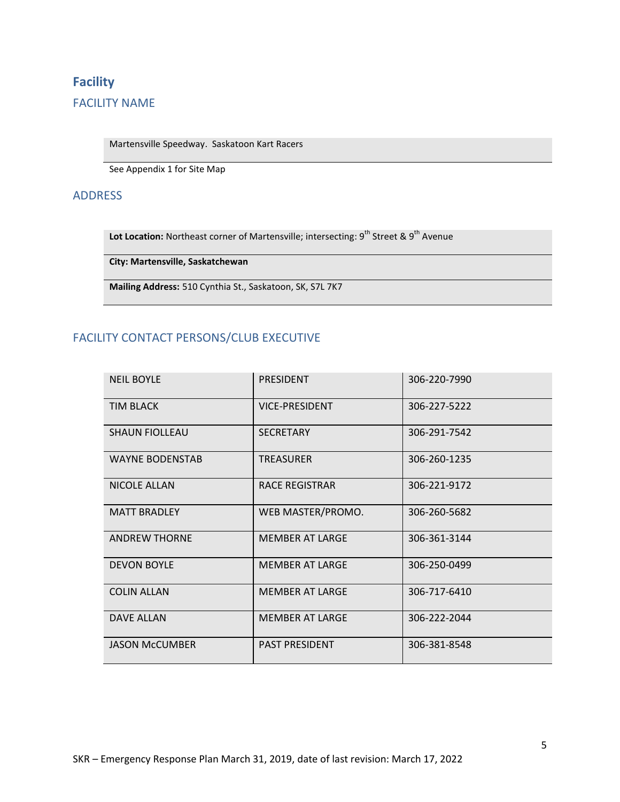# <span id="page-4-1"></span><span id="page-4-0"></span>**Facility**  FACILITY NAME

Martensville Speedway. Saskatoon Kart Racers

See Appendix 1 for Site Map

#### <span id="page-4-2"></span>ADDRESS

Lot Location: Northeast corner of Martensville; intersecting: 9<sup>th</sup> Street & 9<sup>th</sup> Avenue

**City: Martensville, Saskatchewan** 

**Mailing Address:** [510 Cynthia S](x-apple-data-detectors://0/)t., [Saskatoon, SK,](x-apple-data-detectors://0/) S7L 7K7

## <span id="page-4-3"></span>FACILITY CONTACT PERSONS/CLUB EXECUTIVE

| <b>NEIL BOYLE</b>      | <b>PRESIDENT</b>       | 306-220-7990 |
|------------------------|------------------------|--------------|
| <b>TIM BLACK</b>       | <b>VICE-PRESIDENT</b>  | 306-227-5222 |
| <b>SHAUN FIOLLEAU</b>  | <b>SECRETARY</b>       | 306-291-7542 |
| <b>WAYNE BODENSTAB</b> | <b>TREASURER</b>       | 306-260-1235 |
| <b>NICOLE ALLAN</b>    | RACE REGISTRAR         | 306-221-9172 |
| <b>MATT BRADLEY</b>    | WEB MASTER/PROMO.      | 306-260-5682 |
| <b>ANDREW THORNE</b>   | <b>MEMBER AT LARGE</b> | 306-361-3144 |
| <b>DEVON BOYLE</b>     | <b>MEMBER AT LARGE</b> | 306-250-0499 |
| <b>COLIN ALLAN</b>     | <b>MEMBER AT LARGE</b> | 306-717-6410 |
| <b>DAVE ALLAN</b>      | <b>MEMBER AT LARGE</b> | 306-222-2044 |
| <b>JASON McCUMBER</b>  | <b>PAST PRESIDENT</b>  | 306-381-8548 |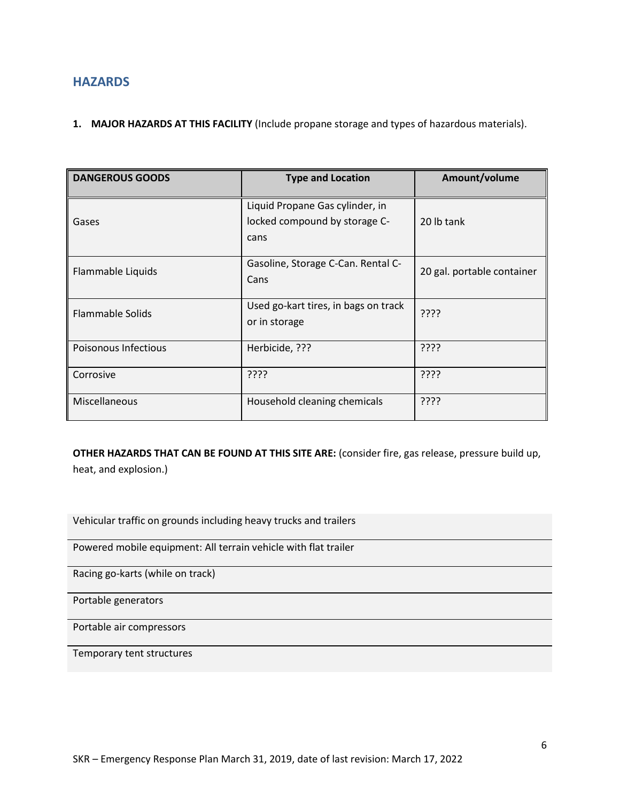### <span id="page-5-0"></span>**HAZARDS**

#### **1. MAJOR HAZARDS AT THIS FACILITY** (Include propane storage and types of hazardous materials).

| <b>DANGEROUS GOODS</b>  | <b>Type and Location</b>                                                 | Amount/volume              |
|-------------------------|--------------------------------------------------------------------------|----------------------------|
| Gases                   | Liquid Propane Gas cylinder, in<br>locked compound by storage C-<br>cans | 20 lb tank                 |
| Flammable Liquids       | Gasoline, Storage C-Can. Rental C-<br>Cans                               | 20 gal. portable container |
| <b>Flammable Solids</b> | Used go-kart tires, in bags on track<br>or in storage                    | ????                       |
| Poisonous Infectious    | Herbicide, ???                                                           | ????                       |
| Corrosive               | ????                                                                     | ????                       |
| Miscellaneous           | Household cleaning chemicals                                             | ????                       |

**OTHER HAZARDS THAT CAN BE FOUND AT THIS SITE ARE:** (consider fire, gas release, pressure build up, heat, and explosion.)

Vehicular traffic on grounds including heavy trucks and trailers

Powered mobile equipment: All terrain vehicle with flat trailer

Racing go-karts (while on track)

Portable generators

Portable air compressors

Temporary tent structures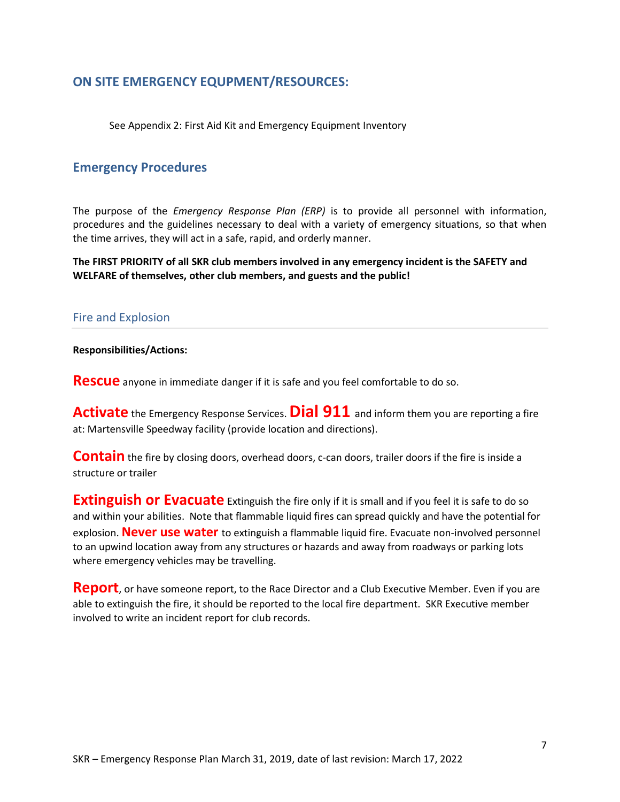### <span id="page-6-0"></span>**ON SITE EMERGENCY EQUPMENT/RESOURCES:**

See Appendix 2: First Aid Kit and Emergency Equipment Inventory

### <span id="page-6-1"></span>**Emergency Procedures**

The purpose of the *Emergency Response Plan (ERP)* is to provide all personnel with information, procedures and the guidelines necessary to deal with a variety of emergency situations, so that when the time arrives, they will act in a safe, rapid, and orderly manner.

**The FIRST PRIORITY of all SKR club members involved in any emergency incident is the SAFETY and WELFARE of themselves, other club members, and guests and the public!** 

#### <span id="page-6-2"></span>Fire and Explosion

#### **Responsibilities/Actions:**

**Rescue** anyone in immediate danger if it is safe and you feel comfortable to do so.

**Activate** the Emergency Response Services. **Dial 911** and inform them you are reporting a fire at: Martensville Speedway facility (provide location and directions).

**Contain** the fire by closing doors, overhead doors, c-can doors, trailer doors if the fire is inside a structure or trailer

**Extinguish or Evacuate** Extinguish the fire only if it is small and if you feel it is safe to do so and within your abilities. Note that flammable liquid fires can spread quickly and have the potential for explosion. **Never use water** to extinguish a flammable liquid fire. Evacuate non-involved personnel to an upwind location away from any structures or hazards and away from roadways or parking lots where emergency vehicles may be travelling.

**Report**, or have someone report, to the Race Director and a Club Executive Member. Even if you are able to extinguish the fire, it should be reported to the local fire department. SKR Executive member involved to write an incident report for club records.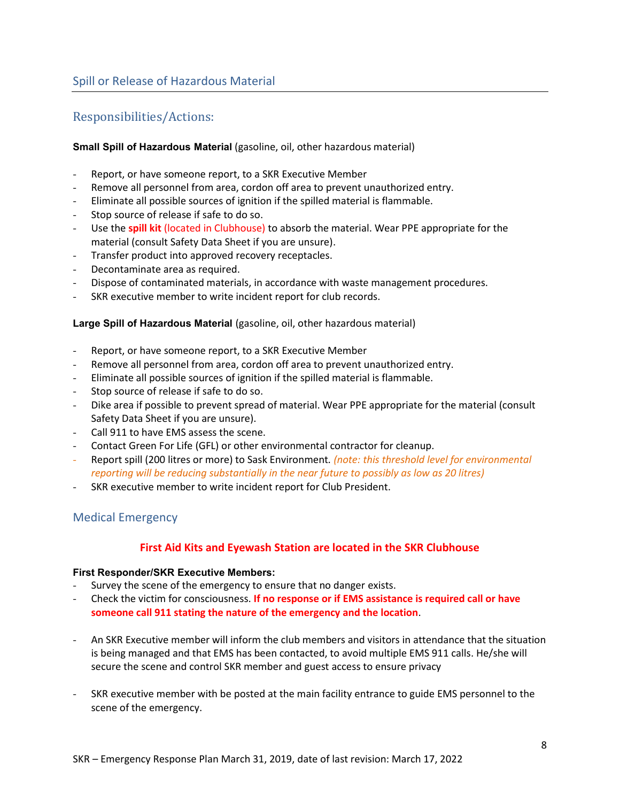## <span id="page-7-1"></span><span id="page-7-0"></span>Responsibilities/Actions:

#### <span id="page-7-2"></span>**Small Spill of Hazardous Material** (gasoline, oil, other hazardous material)

- Report, or have someone report, to a SKR Executive Member
- Remove all personnel from area, cordon off area to prevent unauthorized entry.
- Eliminate all possible sources of ignition if the spilled material is flammable.
- Stop source of release if safe to do so.
- Use the **spill kit** (located in Clubhouse) to absorb the material. Wear PPE appropriate for the material (consult Safety Data Sheet if you are unsure).
- Transfer product into approved recovery receptacles.
- Decontaminate area as required.
- Dispose of contaminated materials, in accordance with waste management procedures.
- SKR executive member to write incident report for club records.

#### <span id="page-7-3"></span>**Large Spill of Hazardous Material** (gasoline, oil, other hazardous material)

- Report, or have someone report, to a SKR Executive Member
- Remove all personnel from area, cordon off area to prevent unauthorized entry.
- Eliminate all possible sources of ignition if the spilled material is flammable.
- Stop source of release if safe to do so.
- Dike area if possible to prevent spread of material. Wear PPE appropriate for the material (consult Safety Data Sheet if you are unsure).
- Call 911 to have EMS assess the scene.
- Contact Green For Life (GFL) or other environmental contractor for cleanup.
- Report spill (200 litres or more) to Sask Environment*. (note: this threshold level for environmental reporting will be reducing substantially in the near future to possibly as low as 20 litres)*
- SKR executive member to write incident report for Club President.

### <span id="page-7-4"></span>Medical Emergency

#### **First Aid Kits and Eyewash Station are located in the SKR Clubhouse**

#### <span id="page-7-5"></span>**First Responder/SKR Executive Members:**

- Survey the scene of the emergency to ensure that no danger exists.
- Check the victim for consciousness. **If no response or if EMS assistance is required call or have someone call 911 stating the nature of the emergency and the location**.
- An SKR Executive member will inform the club members and visitors in attendance that the situation is being managed and that EMS has been contacted, to avoid multiple EMS 911 calls. He/she will secure the scene and control SKR member and guest access to ensure privacy
- SKR executive member with be posted at the main facility entrance to guide EMS personnel to the scene of the emergency.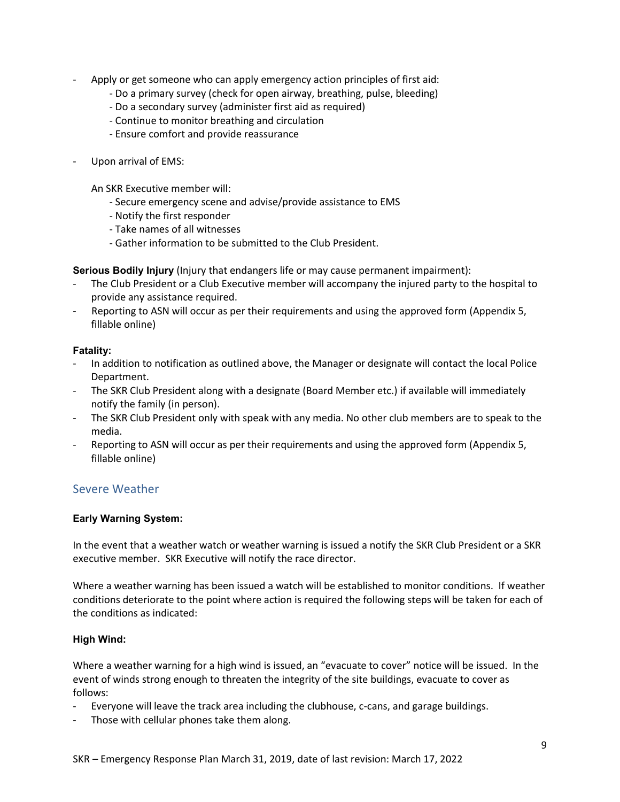- Apply or get someone who can apply emergency action principles of first aid:
	- Do a primary survey (check for open airway, breathing, pulse, bleeding)
	- Do a secondary survey (administer first aid as required)
	- Continue to monitor breathing and circulation
	- Ensure comfort and provide reassurance
- Upon arrival of EMS:

An SKR Executive member will:

- Secure emergency scene and advise/provide assistance to EMS
- Notify the first responder
- Take names of all witnesses
- Gather information to be submitted to the Club President.

<span id="page-8-0"></span>**Serious Bodily Injury** (Injury that endangers life or may cause permanent impairment):

- The Club President or a Club Executive member will accompany the injured party to the hospital to provide any assistance required.
- Reporting to ASN will occur as per their requirements and using the approved form (Appendix 5, fillable online)

#### <span id="page-8-1"></span>**Fatality:**

- In addition to notification as outlined above, the Manager or designate will contact the local Police Department.
- The SKR Club President along with a designate (Board Member etc.) if available will immediately notify the family (in person).
- The SKR Club President only with speak with any media. No other club members are to speak to the media.
- Reporting to ASN will occur as per their requirements and using the approved form (Appendix 5, fillable online)

### <span id="page-8-2"></span>Severe Weather

#### <span id="page-8-3"></span>**Early Warning System:**

In the event that a weather watch or weather warning is issued a notify the SKR Club President or a SKR executive member. SKR Executive will notify the race director.

Where a weather warning has been issued a watch will be established to monitor conditions. If weather conditions deteriorate to the point where action is required the following steps will be taken for each of the conditions as indicated:

#### <span id="page-8-4"></span>**High Wind:**

Where a weather warning for a high wind is issued, an "evacuate to cover" notice will be issued. In the event of winds strong enough to threaten the integrity of the site buildings, evacuate to cover as follows:

- Everyone will leave the track area including the clubhouse, c-cans, and garage buildings.
- Those with cellular phones take them along.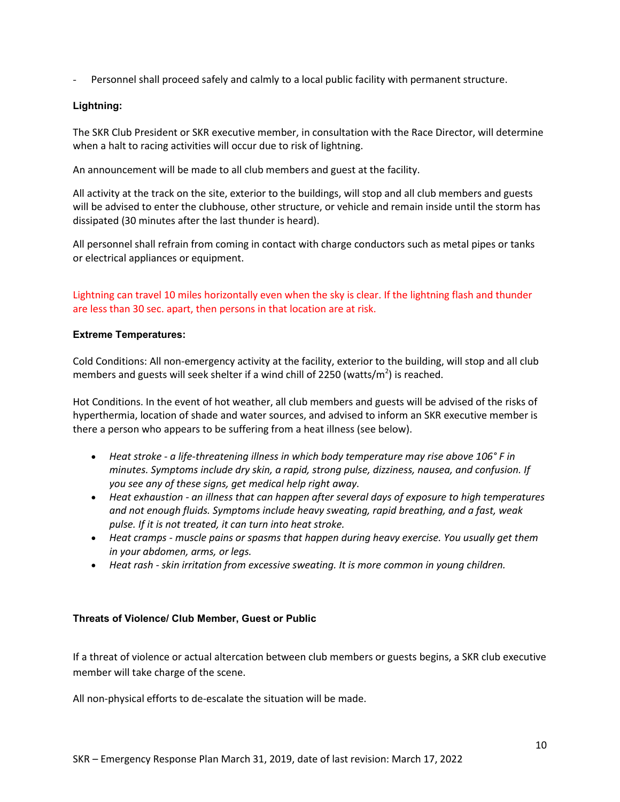- Personnel shall proceed safely and calmly to a local public facility with permanent structure.

#### <span id="page-9-0"></span>**Lightning:**

The SKR Club President or SKR executive member, in consultation with the Race Director, will determine when a halt to racing activities will occur due to risk of lightning.

An announcement will be made to all club members and guest at the facility.

All activity at the track on the site, exterior to the buildings, will stop and all club members and guests will be advised to enter the clubhouse, other structure, or vehicle and remain inside until the storm has dissipated (30 minutes after the last thunder is heard).

All personnel shall refrain from coming in contact with charge conductors such as metal pipes or tanks or electrical appliances or equipment.

Lightning can travel 10 miles horizontally even when the sky is clear. If the lightning flash and thunder are less than 30 sec. apart, then persons in that location are at risk.

#### <span id="page-9-1"></span>**Extreme Temperatures:**

Cold Conditions: All non-emergency activity at the facility, exterior to the building, will stop and all club members and guests will seek shelter if a wind chill of 2250 (watts/m<sup>2</sup>) is reached.

Hot Conditions. In the event of hot weather, all club members and guests will be advised of the risks of hyperthermia, location of shade and water sources, and advised to inform an SKR executive member is there a person who appears to be suffering from a heat illness (see below).

- *Heat stroke a life-threatening illness in which body temperature may rise above 106° F in minutes. Symptoms include dry skin, a rapid, strong pulse, dizziness, nausea, and confusion. If you see any of these signs, get medical help right away.*
- *Heat exhaustion an illness that can happen after several days of exposure to high temperatures and not enough fluids. Symptoms include heavy sweating, rapid breathing, and a fast, weak pulse. If it is not treated, it can turn into heat stroke.*
- *Heat cramps muscle pains or spasms that happen during heavy exercise. You usually get them in your abdomen, arms, or legs.*
- *Heat rash skin irritation from excessive sweating. It is more common in young children.*

#### <span id="page-9-2"></span>**Threats of Violence/ Club Member, Guest or Public**

If a threat of violence or actual altercation between club members or guests begins, a SKR club executive member will take charge of the scene.

All non-physical efforts to de-escalate the situation will be made.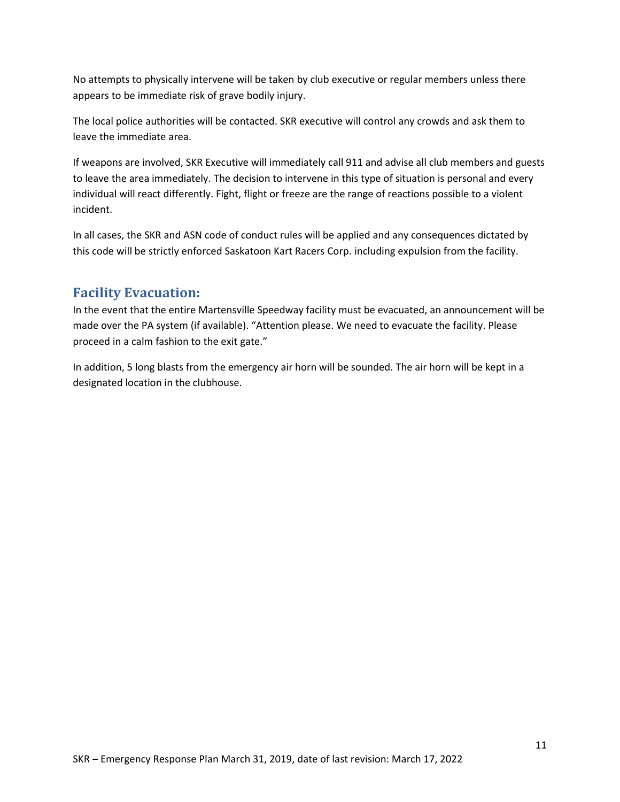No attempts to physically intervene will be taken by club executive or regular members unless there appears to be immediate risk of grave bodily injury.

The local police authorities will be contacted. SKR executive will control any crowds and ask them to leave the immediate area.

If weapons are involved, SKR Executive will immediately call 911 and advise all club members and guests to leave the area immediately. The decision to intervene in this type of situation is personal and every individual will react differently. Fight, flight or freeze are the range of reactions possible to a violent incident.

In all cases, the SKR and ASN code of conduct rules will be applied and any consequences dictated by this code will be strictly enforced Saskatoon Kart Racers Corp. including expulsion from the facility.

# <span id="page-10-0"></span>**Facility Evacuation:**

In the event that the entire Martensville Speedway facility must be evacuated, an announcement will be made over the PA system (if available). "Attention please. We need to evacuate the facility. Please proceed in a calm fashion to the exit gate."

In addition, 5 long blasts from the emergency air horn will be sounded. The air horn will be kept in a designated location in the clubhouse.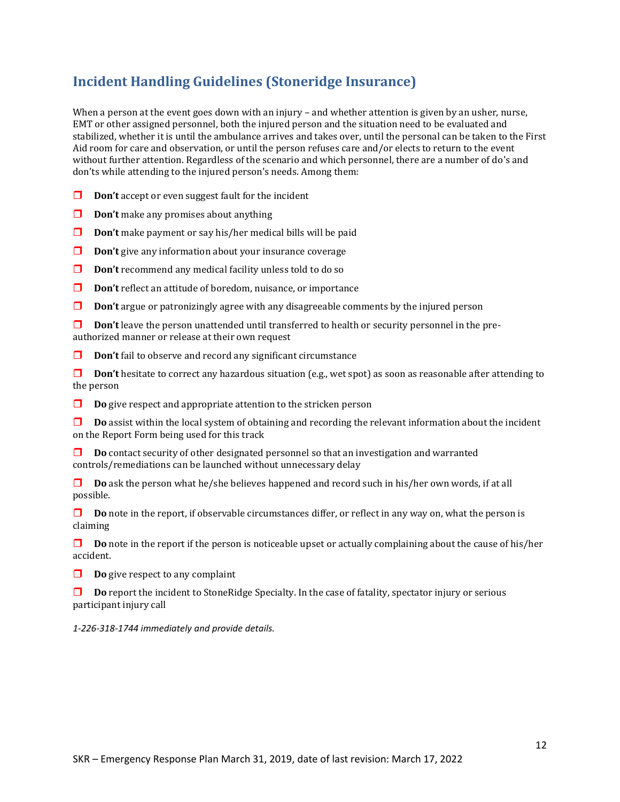# <span id="page-11-0"></span>**Incident Handling Guidelines (Stoneridge Insurance)**

When a person at the event goes down with an injury – and whether attention is given by an usher, nurse, EMT or other assigned personnel, both the injured person and the situation need to be evaluated and stabilized, whether it is until the ambulance arrives and takes over, until the personal can be taken to the First Aid room for care and observation, or until the person refuses care and/or elects to return to the event without further attention. Regardless of the scenario and which personnel, there are a number of do's and don'ts while attending to the injured person's needs. Among them:

- **Don't** accept or even suggest fault for the incident
- **Don't** make any promises about anything
- **Don't** make payment or say his/her medical bills will be paid
- **Don't** give any information about your insurance coverage
- **Don't** recommend any medical facility unless told to do so
- **D Don't** reflect an attitude of boredom, nuisance, or importance
- **Don't** argue or patronizingly agree with any disagreeable comments by the injured person

**Don't** leave the person unattended until transferred to health or security personnel in the preauthorized manner or release at their own request

**Don't** fail to observe and record any significant circumstance

**Don't** hesitate to correct any hazardous situation (e.g., wet spot) as soon as reasonable after attending to the person

**Do** give respect and appropriate attention to the stricken person

**Do** assist within the local system of obtaining and recording the relevant information about the incident on the Report Form being used for this track

**Do** contact security of other designated personnel so that an investigation and warranted controls/remediations can be launched without unnecessary delay

**Do** ask the person what he/she believes happened and record such in his/her own words, if at all possible.

**D Do** note in the report, if observable circumstances differ, or reflect in any way on, what the person is claiming

**Do** note in the report if the person is noticeable upset or actually complaining about the cause of his/her accident.

**Do** give respect to any complaint

**Do** report the incident to StoneRidge Specialty. In the case of fatality, spectator injury or serious participant injury call

*1-226-318-1744 immediately and provide details.*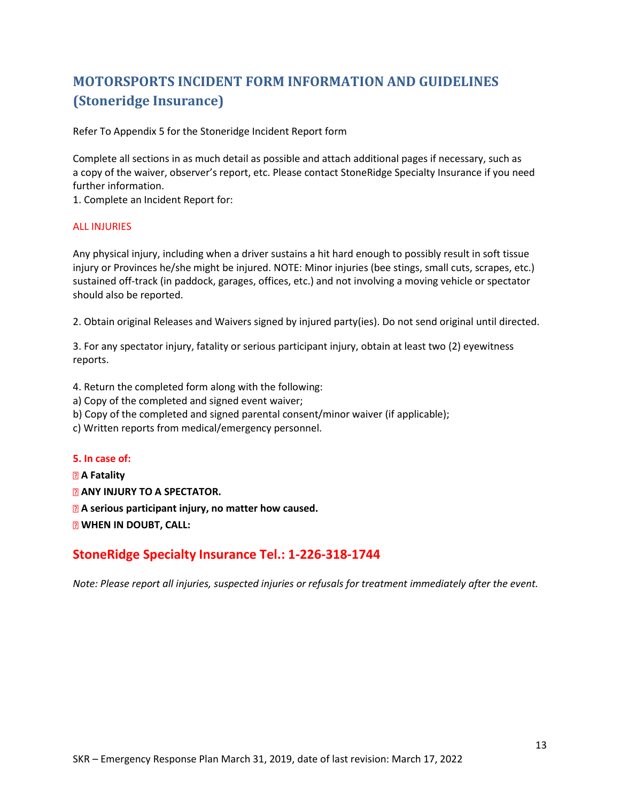# <span id="page-12-0"></span>**MOTORSPORTS INCIDENT FORM INFORMATION AND GUIDELINES (Stoneridge Insurance)**

Refer To Appendix 5 for the Stoneridge Incident Report form

Complete all sections in as much detail as possible and attach additional pages if necessary, such as a copy of the waiver, observer's report, etc. Please contact StoneRidge Specialty Insurance if you need further information.

1. Complete an Incident Report for:

#### ALL INJURIES

Any physical injury, including when a driver sustains a hit hard enough to possibly result in soft tissue injury or Provinces he/she might be injured. NOTE: Minor injuries (bee stings, small cuts, scrapes, etc.) sustained off-track (in paddock, garages, offices, etc.) and not involving a moving vehicle or spectator should also be reported.

2. Obtain original Releases and Waivers signed by injured party(ies). Do not send original until directed.

3. For any spectator injury, fatality or serious participant injury, obtain at least two (2) eyewitness reports.

4. Return the completed form along with the following:

a) Copy of the completed and signed event waiver;

b) Copy of the completed and signed parental consent/minor waiver (if applicable);

c) Written reports from medical/emergency personnel.

#### **5. In case of:**

**A Fatality ANY INJURY TO A SPECTATOR. A serious participant injury, no matter how caused. WHEN IN DOUBT, CALL:** 

### **StoneRidge Specialty Insurance Tel.: 1-226-318-1744**

*Note: Please report all injuries, suspected injuries or refusals for treatment immediately after the event.*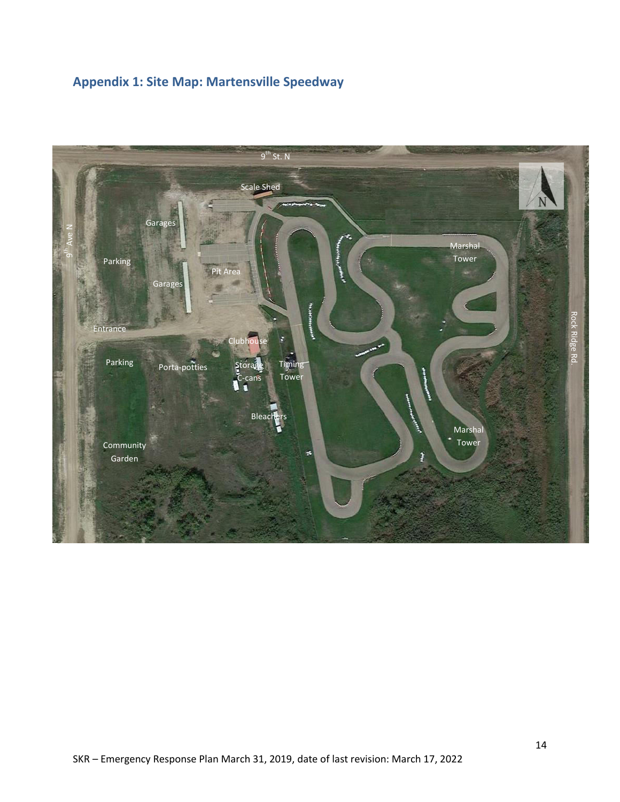# <span id="page-13-0"></span>**Appendix 1: Site Map: Martensville Speedway**

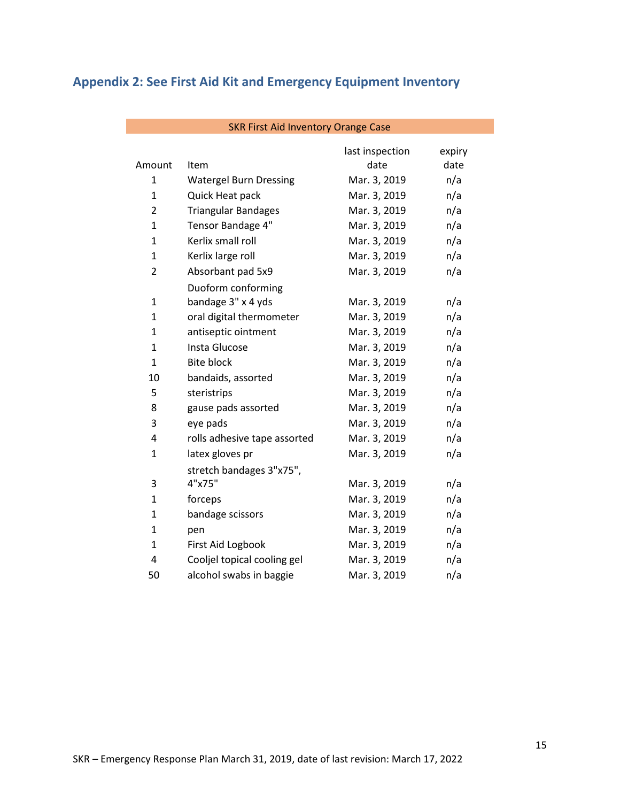# <span id="page-14-0"></span>**Appendix 2: See First Aid Kit and Emergency Equipment Inventory**

| Amount         | Item                          | last inspection<br>date | expiry<br>date |
|----------------|-------------------------------|-------------------------|----------------|
| 1              | <b>Watergel Burn Dressing</b> | Mar. 3, 2019            | n/a            |
| $\mathbf{1}$   | Quick Heat pack               | Mar. 3, 2019            | n/a            |
| $\overline{2}$ | <b>Triangular Bandages</b>    | Mar. 3, 2019            | n/a            |
| $\mathbf 1$    | Tensor Bandage 4"             | Mar. 3, 2019            | n/a            |
| $\mathbf{1}$   | Kerlix small roll             | Mar. 3, 2019            | n/a            |
| $\overline{1}$ | Kerlix large roll             | Mar. 3, 2019            | n/a            |
| 2              | Absorbant pad 5x9             | Mar. 3, 2019            | n/a            |
|                | Duoform conforming            |                         |                |
| 1              | bandage 3" x 4 yds            | Mar. 3, 2019            | n/a            |
| 1              | oral digital thermometer      | Mar. 3, 2019            | n/a            |
| 1              | antiseptic ointment           | Mar. 3, 2019            | n/a            |
| $\mathbf{1}$   | Insta Glucose                 | Mar. 3, 2019            | n/a            |
| $\overline{1}$ | <b>Bite block</b>             | Mar. 3, 2019            | n/a            |
| 10             | bandaids, assorted            | Mar. 3, 2019            | n/a            |
| 5              | steristrips                   | Mar. 3, 2019            | n/a            |
| 8              | gause pads assorted           | Mar. 3, 2019            | n/a            |
| 3              | eye pads                      | Mar. 3, 2019            | n/a            |
| 4              | rolls adhesive tape assorted  | Mar. 3, 2019            | n/a            |
| 1              | latex gloves pr               | Mar. 3, 2019            | n/a            |
|                | stretch bandages 3"x75",      |                         |                |
| 3              | 4"x75"                        | Mar. 3, 2019            | n/a            |
| 1              | forceps                       | Mar. 3, 2019            | n/a            |
| $\mathbf{1}$   | bandage scissors              | Mar. 3, 2019            | n/a            |
| 1              | pen                           | Mar. 3, 2019            | n/a            |
| $\mathbf{1}$   | First Aid Logbook             | Mar. 3, 2019            | n/a            |
| 4              | Cooljel topical cooling gel   | Mar. 3, 2019            | n/a            |
| 50             | alcohol swabs in baggie       | Mar. 3, 2019            | n/a            |

#### SKR First Aid Inventory Orange Case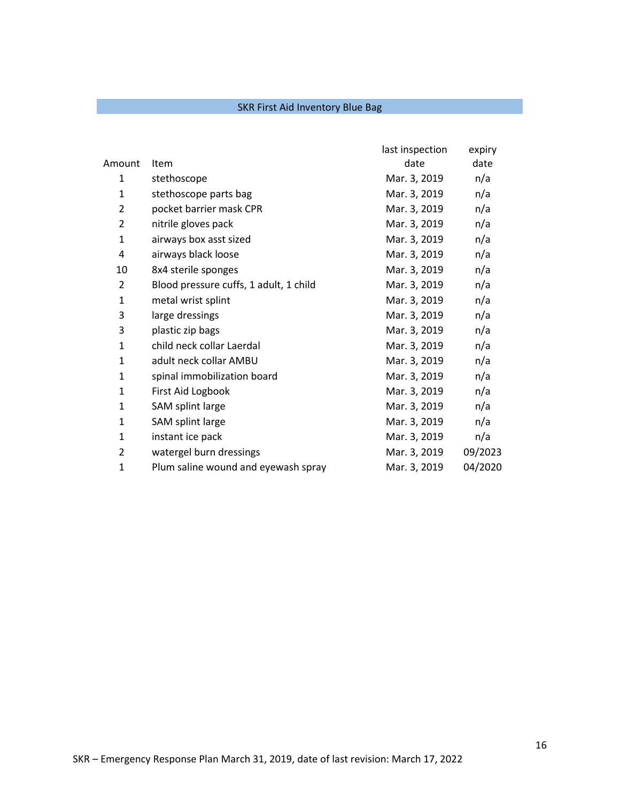### SKR First Aid Inventory Blue Bag

|                |                                        | last inspection | expiry  |
|----------------|----------------------------------------|-----------------|---------|
| Amount         | Item                                   | date            | date    |
| $\mathbf{1}$   | stethoscope                            | Mar. 3, 2019    | n/a     |
| $\mathbf{1}$   | stethoscope parts bag                  | Mar. 3, 2019    | n/a     |
| $\overline{2}$ | pocket barrier mask CPR                | Mar. 3, 2019    | n/a     |
| $\overline{2}$ | nitrile gloves pack                    | Mar. 3, 2019    | n/a     |
| $\mathbf{1}$   | airways box asst sized                 | Mar. 3, 2019    | n/a     |
| 4              | airways black loose                    | Mar. 3, 2019    | n/a     |
| 10             | 8x4 sterile sponges                    | Mar. 3, 2019    | n/a     |
| 2              | Blood pressure cuffs, 1 adult, 1 child | Mar. 3, 2019    | n/a     |
| $\mathbf{1}$   | metal wrist splint                     | Mar. 3, 2019    | n/a     |
| 3              | large dressings                        | Mar. 3, 2019    | n/a     |
| 3              | plastic zip bags                       | Mar. 3, 2019    | n/a     |
| $\mathbf{1}$   | child neck collar Laerdal              | Mar. 3, 2019    | n/a     |
| 1              | adult neck collar AMBU                 | Mar. 3, 2019    | n/a     |
| 1              | spinal immobilization board            | Mar. 3, 2019    | n/a     |
| 1              | First Aid Logbook                      | Mar. 3, 2019    | n/a     |
| $\mathbf{1}$   | SAM splint large                       | Mar. 3, 2019    | n/a     |
| $\mathbf{1}$   | SAM splint large                       | Mar. 3, 2019    | n/a     |
| $\mathbf{1}$   | instant ice pack                       | Mar. 3, 2019    | n/a     |
| 2              | watergel burn dressings                | Mar. 3, 2019    | 09/2023 |
| $\mathbf{1}$   | Plum saline wound and eyewash spray    | Mar. 3, 2019    | 04/2020 |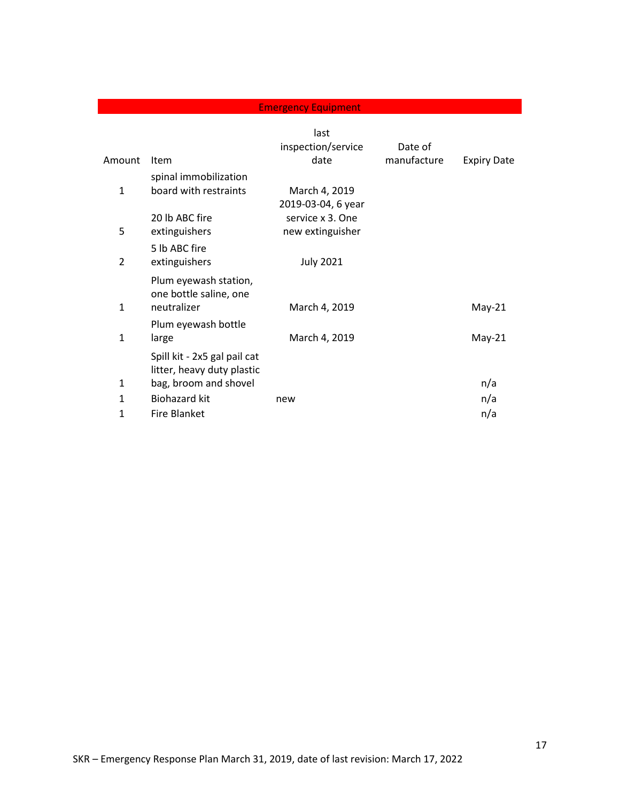### **Emergency Equipment**

|                |                                                            | last<br>inspection/service | Date of     |                    |
|----------------|------------------------------------------------------------|----------------------------|-------------|--------------------|
| Amount         | Item                                                       | date                       | manufacture | <b>Expiry Date</b> |
|                | spinal immobilization                                      |                            |             |                    |
| $\mathbf{1}$   | board with restraints                                      | March 4, 2019              |             |                    |
|                |                                                            | 2019-03-04, 6 year         |             |                    |
|                | 20 lb ABC fire                                             | service x 3. One           |             |                    |
| 5              | extinguishers                                              | new extinguisher           |             |                    |
|                | 5 lb ABC fire                                              |                            |             |                    |
| $\overline{2}$ | extinguishers                                              | <b>July 2021</b>           |             |                    |
|                | Plum eyewash station,<br>one bottle saline, one            |                            |             |                    |
| 1              | neutralizer                                                | March 4, 2019              |             | $May-21$           |
|                | Plum eyewash bottle                                        |                            |             |                    |
| $\mathbf{1}$   | large                                                      | March 4, 2019              |             | $May-21$           |
|                | Spill kit - 2x5 gal pail cat<br>litter, heavy duty plastic |                            |             |                    |
| $\mathbf{1}$   | bag, broom and shovel                                      |                            |             | n/a                |
| $\mathbf{1}$   | <b>Biohazard kit</b>                                       | new                        |             | n/a                |
| 1              | <b>Fire Blanket</b>                                        |                            |             | n/a                |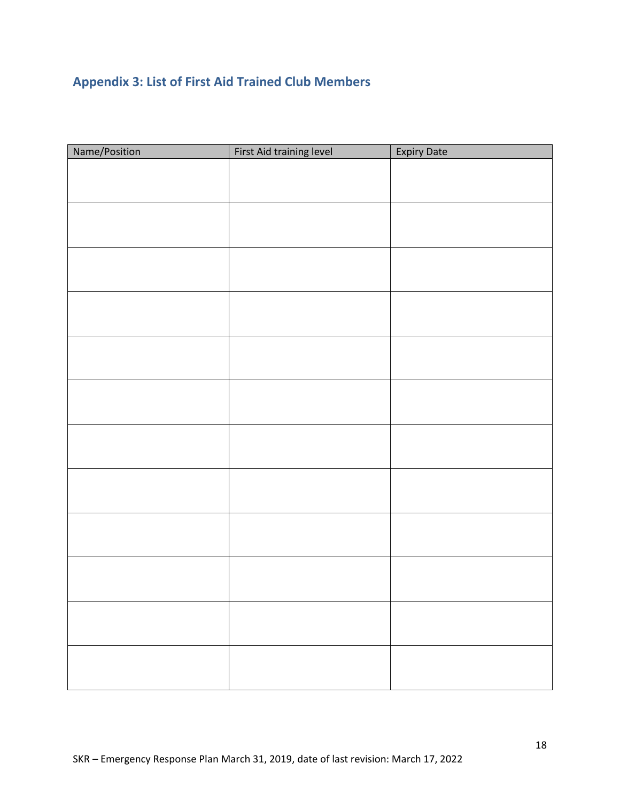# <span id="page-17-0"></span>**Appendix 3: List of First Aid Trained Club Members**

| Name/Position | First Aid training level | <b>Expiry Date</b> |
|---------------|--------------------------|--------------------|
|               |                          |                    |
|               |                          |                    |
|               |                          |                    |
|               |                          |                    |
|               |                          |                    |
|               |                          |                    |
|               |                          |                    |
|               |                          |                    |
|               |                          |                    |
|               |                          |                    |
|               |                          |                    |
|               |                          |                    |
|               |                          |                    |
|               |                          |                    |
|               |                          |                    |
|               |                          |                    |
|               |                          |                    |
|               |                          |                    |
|               |                          |                    |
|               |                          |                    |
|               |                          |                    |
|               |                          |                    |
|               |                          |                    |
|               |                          |                    |
|               |                          |                    |
|               |                          |                    |
|               |                          |                    |
|               |                          |                    |
|               |                          |                    |
|               |                          |                    |
|               |                          |                    |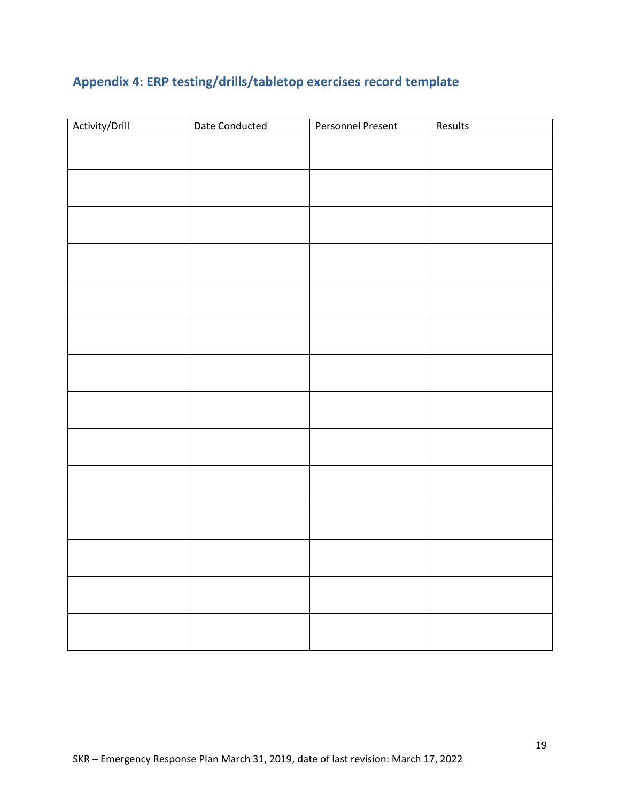# <span id="page-18-0"></span>**Appendix 4: ERP testing/drills/tabletop exercises record template**

| Activity/Drill | Date Conducted | <b>Personnel Present</b> | Results |
|----------------|----------------|--------------------------|---------|
|                |                |                          |         |
|                |                |                          |         |
|                |                |                          |         |
|                |                |                          |         |
|                |                |                          |         |
|                |                |                          |         |
|                |                |                          |         |
|                |                |                          |         |
|                |                |                          |         |
|                |                |                          |         |
|                |                |                          |         |
|                |                |                          |         |
|                |                |                          |         |
|                |                |                          |         |
|                |                |                          |         |
|                |                |                          |         |
|                |                |                          |         |
|                |                |                          |         |
|                |                |                          |         |
|                |                |                          |         |
|                |                |                          |         |
|                |                |                          |         |
|                |                |                          |         |
|                |                |                          |         |
|                |                |                          |         |
|                |                |                          |         |
|                |                |                          |         |
|                |                |                          |         |
|                |                |                          |         |
|                |                |                          |         |
|                |                |                          |         |
|                |                |                          |         |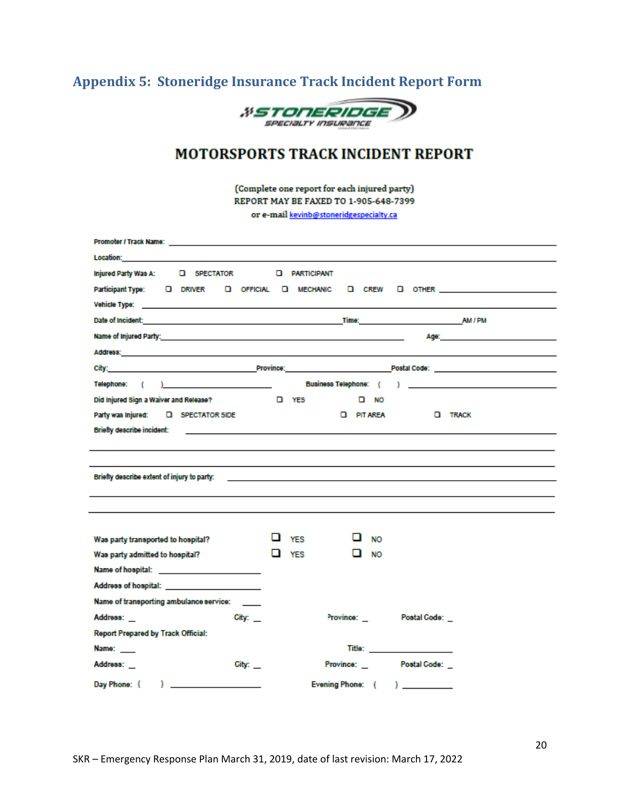# <span id="page-19-0"></span>**Appendix 5: Stoneridge Insurance Track Incident Report Form**



# **MOTORSPORTS TRACK INCIDENT REPORT**

(Complete one report for each injured party) REPORT MAY BE FAXED TO 1-905-648-7399

or e-mail kevinb@stoneridgespecialty.ca

| Injured Party Was A: Q SPECTATOR Q PARTICIPANT                                                                                                                                                                                 |   |            |                        |                                                                                                                        |                                                                                                                 |
|--------------------------------------------------------------------------------------------------------------------------------------------------------------------------------------------------------------------------------|---|------------|------------------------|------------------------------------------------------------------------------------------------------------------------|-----------------------------------------------------------------------------------------------------------------|
| Participant Type: 0 DRIVER 0 OFFICIAL 0 MECHANIC 0 CREW 0 OTHER ________________________                                                                                                                                       |   |            |                        |                                                                                                                        |                                                                                                                 |
|                                                                                                                                                                                                                                |   |            |                        |                                                                                                                        |                                                                                                                 |
| Date of Incident: AM / PM = AM / PM = AM / PM = AM / PM = AM / PM = AM / PM = AM / PM = AM / PM = AM / PM = AM / PM = AM / PM = AM / PM = AM / PM = AM / PM = AM / PM = AM / PM = AM / PM = AM = AM / PM = AM = AM = AM = AM = |   |            |                        |                                                                                                                        |                                                                                                                 |
|                                                                                                                                                                                                                                |   |            |                        |                                                                                                                        | Адес на производство на применение с производство на применение с применение с применение с применение с примен |
|                                                                                                                                                                                                                                |   |            |                        |                                                                                                                        |                                                                                                                 |
|                                                                                                                                                                                                                                |   |            |                        |                                                                                                                        |                                                                                                                 |
|                                                                                                                                                                                                                                |   |            |                        |                                                                                                                        |                                                                                                                 |
| Did Injured Sign a Waiver and Release?<br><b>STATES DESIGNATION</b>                                                                                                                                                            |   |            | $\Box$ NO              |                                                                                                                        |                                                                                                                 |
| Party was injured: [ GPECTATOR SIDE                                                                                                                                                                                            |   |            | <b>D</b> PIT AREA      | <b>D</b> TRACK                                                                                                         |                                                                                                                 |
| Briefly describe incident: with a state of the control of the control of the control of the control of the control of the control of the control of the control of the control of the control of the control of the control of |   |            |                        |                                                                                                                        |                                                                                                                 |
|                                                                                                                                                                                                                                |   |            |                        |                                                                                                                        |                                                                                                                 |
|                                                                                                                                                                                                                                |   |            |                        |                                                                                                                        |                                                                                                                 |
| Briefly describe extent of injury to party:                                                                                                                                                                                    |   |            |                        | <u> 1999 - Johann John Harry Harry Harry Harry Harry Harry Harry Harry Harry Harry Harry Harry Harry Harry Harry H</u> |                                                                                                                 |
|                                                                                                                                                                                                                                |   |            |                        |                                                                                                                        |                                                                                                                 |
|                                                                                                                                                                                                                                |   |            |                        |                                                                                                                        |                                                                                                                 |
|                                                                                                                                                                                                                                |   |            |                        |                                                                                                                        |                                                                                                                 |
| Was party transported to hospital?                                                                                                                                                                                             |   | <b>YES</b> | <b>NO</b>              |                                                                                                                        |                                                                                                                 |
| Was party admitted to hospital?                                                                                                                                                                                                | ப | <b>YES</b> | ப<br>NO                |                                                                                                                        |                                                                                                                 |
| Name of hospital: ________________________                                                                                                                                                                                     |   |            |                        |                                                                                                                        |                                                                                                                 |
| Address of hospital: _______________________                                                                                                                                                                                   |   |            |                        |                                                                                                                        |                                                                                                                 |
| Name of transporting ambulance service: ____                                                                                                                                                                                   |   |            |                        |                                                                                                                        |                                                                                                                 |
| Address: _<br>City:                                                                                                                                                                                                            |   |            | Province:              | Postal Code:                                                                                                           |                                                                                                                 |
| Report Prepared by Track Official:                                                                                                                                                                                             |   |            |                        |                                                                                                                        |                                                                                                                 |
| Name: <b>Name</b>                                                                                                                                                                                                              |   |            |                        |                                                                                                                        |                                                                                                                 |
| Address: _<br>City:                                                                                                                                                                                                            |   |            | Province: Postal Code: |                                                                                                                        |                                                                                                                 |
| Day Phone: (<br>$\sqrt{2}$                                                                                                                                                                                                     |   |            | Evening Phone: (       | $\mathbf{1}$                                                                                                           |                                                                                                                 |